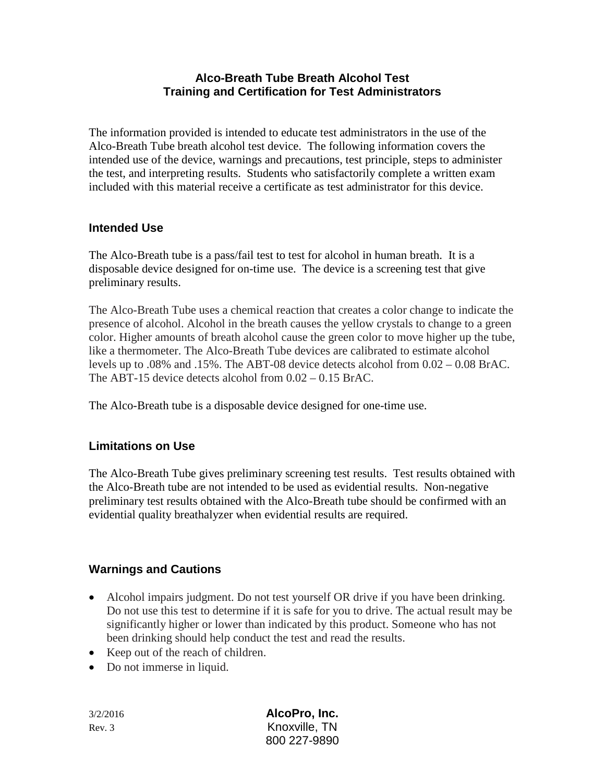### **Alco-Breath Tube Breath Alcohol Test Training and Certification for Test Administrators**

The information provided is intended to educate test administrators in the use of the Alco-Breath Tube breath alcohol test device. The following information covers the intended use of the device, warnings and precautions, test principle, steps to administer the test, and interpreting results. Students who satisfactorily complete a written exam included with this material receive a certificate as test administrator for this device.

### **Intended Use**

The Alco-Breath tube is a pass/fail test to test for alcohol in human breath. It is a disposable device designed for on-time use. The device is a screening test that give preliminary results.

The Alco-Breath Tube uses a chemical reaction that creates a color change to indicate the presence of alcohol. Alcohol in the breath causes the yellow crystals to change to a green color. Higher amounts of breath alcohol cause the green color to move higher up the tube, like a thermometer. The Alco-Breath Tube devices are calibrated to estimate alcohol levels up to .08% and .15%. The ABT-08 device detects alcohol from 0.02 – 0.08 BrAC. The ABT-15 device detects alcohol from 0.02 – 0.15 BrAC.

The Alco-Breath tube is a disposable device designed for one-time use.

## **Limitations on Use**

The Alco-Breath Tube gives preliminary screening test results. Test results obtained with the Alco-Breath tube are not intended to be used as evidential results. Non-negative preliminary test results obtained with the Alco-Breath tube should be confirmed with an evidential quality breathalyzer when evidential results are required.

## **Warnings and Cautions**

- Alcohol impairs judgment. Do not test yourself OR drive if you have been drinking. Do not use this test to determine if it is safe for you to drive. The actual result may be significantly higher or lower than indicated by this product. Someone who has not been drinking should help conduct the test and read the results.
- Keep out of the reach of children.
- Do not immerse in liquid.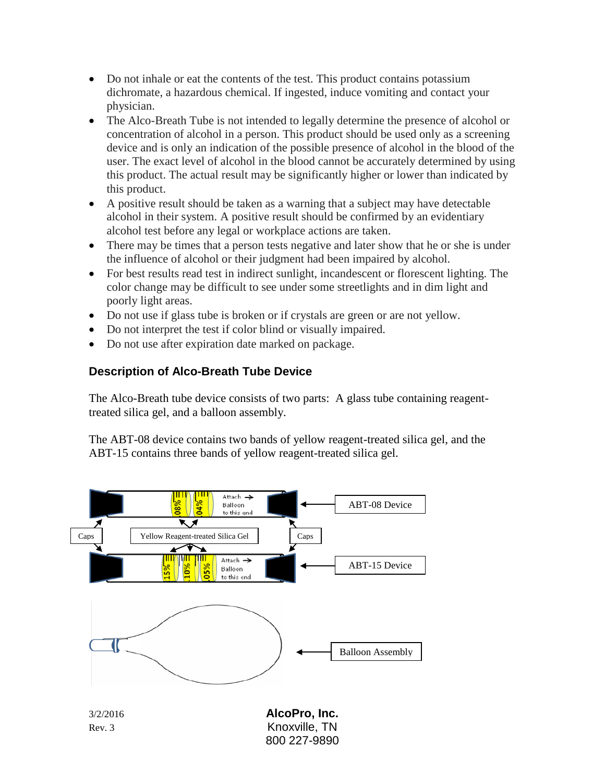- Do not inhale or eat the contents of the test. This product contains potassium dichromate, a hazardous chemical. If ingested, induce vomiting and contact your physician.
- The Alco-Breath Tube is not intended to legally determine the presence of alcohol or concentration of alcohol in a person. This product should be used only as a screening device and is only an indication of the possible presence of alcohol in the blood of the user. The exact level of alcohol in the blood cannot be accurately determined by using this product. The actual result may be significantly higher or lower than indicated by this product.
- A positive result should be taken as a warning that a subject may have detectable alcohol in their system. A positive result should be confirmed by an evidentiary alcohol test before any legal or workplace actions are taken.
- There may be times that a person tests negative and later show that he or she is under the influence of alcohol or their judgment had been impaired by alcohol.
- For best results read test in indirect sunlight, incandescent or florescent lighting. The color change may be difficult to see under some streetlights and in dim light and poorly light areas.
- Do not use if glass tube is broken or if crystals are green or are not yellow.
- Do not interpret the test if color blind or visually impaired.
- Do not use after expiration date marked on package.

## **Description of Alco-Breath Tube Device**

The Alco-Breath tube device consists of two parts: A glass tube containing reagenttreated silica gel, and a balloon assembly.

The ABT-08 device contains two bands of yellow reagent-treated silica gel, and the ABT-15 contains three bands of yellow reagent-treated silica gel.

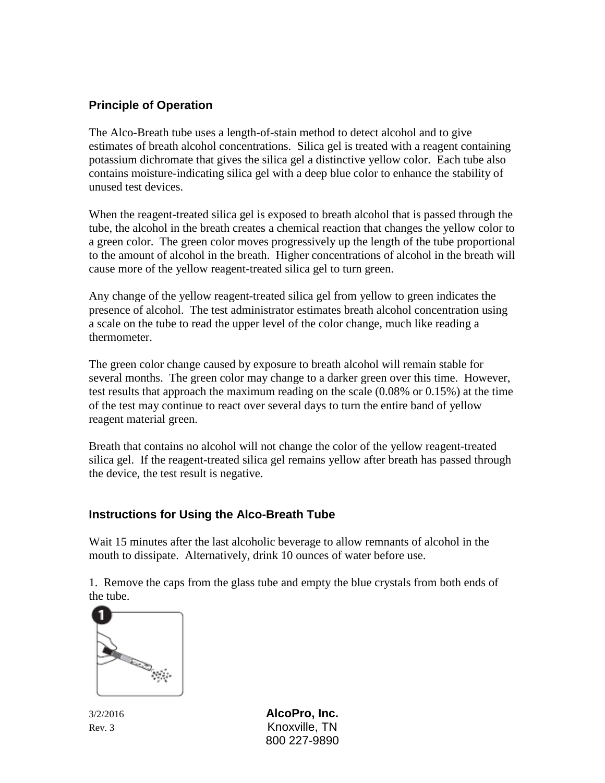### **Principle of Operation**

The Alco-Breath tube uses a length-of-stain method to detect alcohol and to give estimates of breath alcohol concentrations. Silica gel is treated with a reagent containing potassium dichromate that gives the silica gel a distinctive yellow color. Each tube also contains moisture-indicating silica gel with a deep blue color to enhance the stability of unused test devices.

When the reagent-treated silica gel is exposed to breath alcohol that is passed through the tube, the alcohol in the breath creates a chemical reaction that changes the yellow color to a green color. The green color moves progressively up the length of the tube proportional to the amount of alcohol in the breath. Higher concentrations of alcohol in the breath will cause more of the yellow reagent-treated silica gel to turn green.

Any change of the yellow reagent-treated silica gel from yellow to green indicates the presence of alcohol. The test administrator estimates breath alcohol concentration using a scale on the tube to read the upper level of the color change, much like reading a thermometer.

The green color change caused by exposure to breath alcohol will remain stable for several months. The green color may change to a darker green over this time. However, test results that approach the maximum reading on the scale (0.08% or 0.15%) at the time of the test may continue to react over several days to turn the entire band of yellow reagent material green.

Breath that contains no alcohol will not change the color of the yellow reagent-treated silica gel. If the reagent-treated silica gel remains yellow after breath has passed through the device, the test result is negative.

#### **Instructions for Using the Alco-Breath Tube**

Wait 15 minutes after the last alcoholic beverage to allow remnants of alcohol in the mouth to dissipate. Alternatively, drink 10 ounces of water before use.

1. Remove the caps from the glass tube and empty the blue crystals from both ends of the tube.

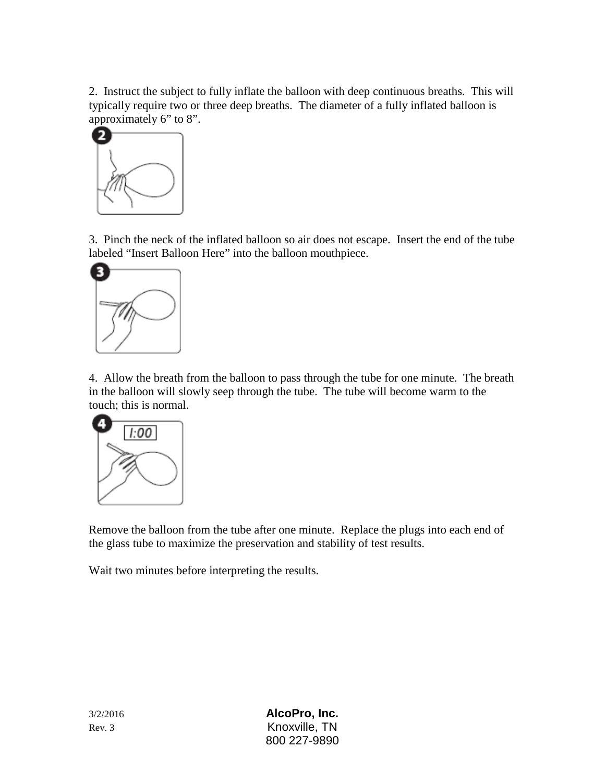2. Instruct the subject to fully inflate the balloon with deep continuous breaths. This will typically require two or three deep breaths. The diameter of a fully inflated balloon is approximately 6" to 8".



3. Pinch the neck of the inflated balloon so air does not escape. Insert the end of the tube labeled "Insert Balloon Here" into the balloon mouthpiece.



4. Allow the breath from the balloon to pass through the tube for one minute. The breath in the balloon will slowly seep through the tube. The tube will become warm to the touch; this is normal.



Remove the balloon from the tube after one minute. Replace the plugs into each end of the glass tube to maximize the preservation and stability of test results.

Wait two minutes before interpreting the results.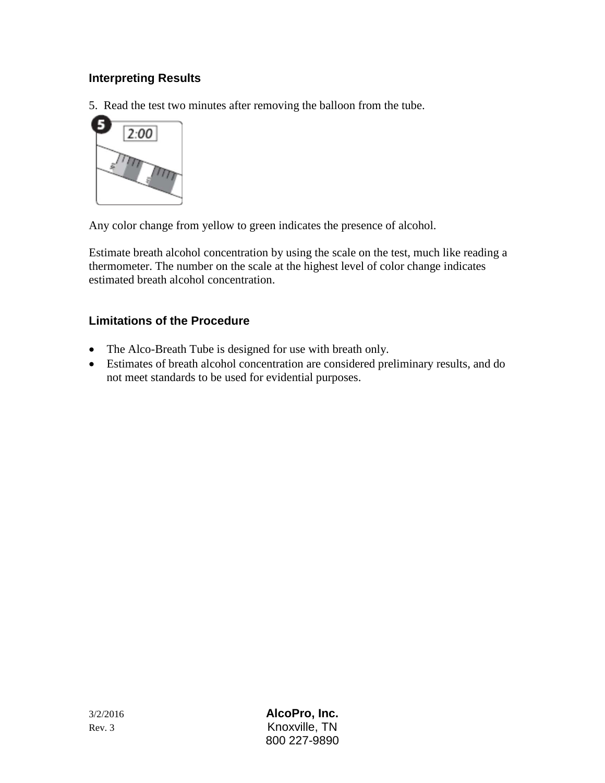## **Interpreting Results**

5. Read the test two minutes after removing the balloon from the tube.



Any color change from yellow to green indicates the presence of alcohol.

Estimate breath alcohol concentration by using the scale on the test, much like reading a thermometer. The number on the scale at the highest level of color change indicates estimated breath alcohol concentration.

## **Limitations of the Procedure**

- The Alco-Breath Tube is designed for use with breath only.
- Estimates of breath alcohol concentration are considered preliminary results, and do not meet standards to be used for evidential purposes.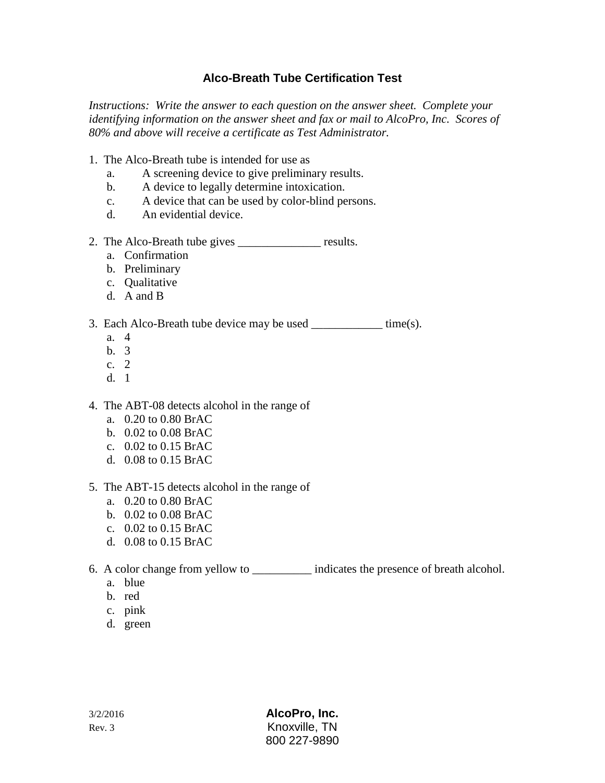## **Alco-Breath Tube Certification Test**

*Instructions: Write the answer to each question on the answer sheet. Complete your identifying information on the answer sheet and fax or mail to AlcoPro, Inc. Scores of 80% and above will receive a certificate as Test Administrator.*

- 1. The Alco-Breath tube is intended for use as
	- a. A screening device to give preliminary results.
	- b. A device to legally determine intoxication.
	- c. A device that can be used by color-blind persons.
	- d. An evidential device.
- 2. The Alco-Breath tube gives \_\_\_\_\_\_\_\_\_\_\_\_\_\_ results.
	- a. Confirmation
	- b. Preliminary
	- c. Qualitative
	- d. A and B
- 3. Each Alco-Breath tube device may be used \_\_\_\_\_\_\_\_\_\_\_\_\_ time(s).
	- a. 4
	- b. 3
	- c. 2
	- d. 1

4. The ABT-08 detects alcohol in the range of

- a. 0.20 to 0.80 BrAC
- b. 0.02 to 0.08 BrAC
- c. 0.02 to 0.15 BrAC
- d. 0.08 to 0.15 BrAC
- 5. The ABT-15 detects alcohol in the range of
	- a. 0.20 to 0.80 BrAC
	- b. 0.02 to 0.08 BrAC
	- c. 0.02 to 0.15 BrAC
	- d. 0.08 to 0.15 BrAC
- 6. A color change from yellow to \_\_\_\_\_\_\_\_\_\_ indicates the presence of breath alcohol.
	- a. blue
	- b. red
	- c. pink
	- d. green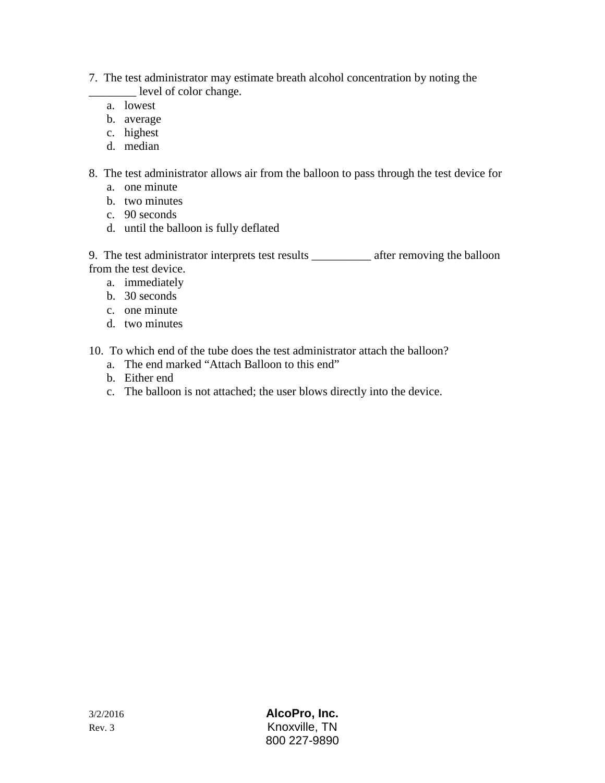- 7. The test administrator may estimate breath alcohol concentration by noting the \_\_\_\_\_\_\_\_ level of color change.
	- a. lowest
	- b. average
	- c. highest
	- d. median
- 8. The test administrator allows air from the balloon to pass through the test device for
	- a. one minute
	- b. two minutes
	- c. 90 seconds
	- d. until the balloon is fully deflated

9. The test administrator interprets test results \_\_\_\_\_\_\_\_\_\_ after removing the balloon from the test device.

- a. immediately
- b. 30 seconds
- c. one minute
- d. two minutes
- 10. To which end of the tube does the test administrator attach the balloon?
	- a. The end marked "Attach Balloon to this end"
	- b. Either end
	- c. The balloon is not attached; the user blows directly into the device.